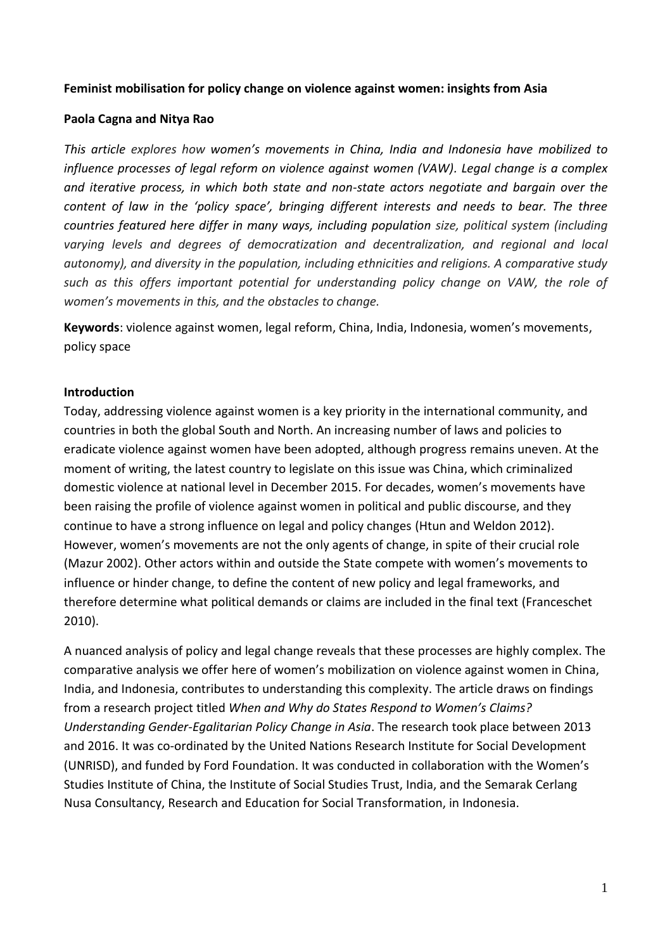#### **Feminist mobilisation for policy change on violence against women: insights from Asia**

#### **Paola Cagna and Nitya Rao**

*This article explores how women's movements in China, India and Indonesia have mobilized to influence processes of legal reform on violence against women (VAW). Legal change is a complex and iterative process, in which both state and non-state actors negotiate and bargain over the content of law in the 'policy space', bringing different interests and needs to bear. The three countries featured here differ in many ways, including population size, political system (including varying levels and degrees of democratization and decentralization, and regional and local autonomy), and diversity in the population, including ethnicities and religions. A comparative study such as this offers important potential for understanding policy change on VAW, the role of women's movements in this, and the obstacles to change.*

**Keywords**: violence against women, legal reform, China, India, Indonesia, women's movements, policy space

#### **Introduction**

Today, addressing violence against women is a key priority in the international community, and countries in both the global South and North. An increasing number of laws and policies to eradicate violence against women have been adopted, although progress remains uneven. At the moment of writing, the latest country to legislate on this issue was China, which criminalized domestic violence at national level in December 2015. For decades, women's movements have been raising the profile of violence against women in political and public discourse, and they continue to have a strong influence on legal and policy changes (Htun and Weldon 2012). However, women's movements are not the only agents of change, in spite of their crucial role (Mazur 2002). Other actors within and outside the State compete with women's movements to influence or hinder change, to define the content of new policy and legal frameworks, and therefore determine what political demands or claims are included in the final text (Franceschet 2010).

A nuanced analysis of policy and legal change reveals that these processes are highly complex. The comparative analysis we offer here of women's mobilization on violence against women in China, India, and Indonesia, contributes to understanding this complexity. The article draws on findings from a research project titled *When and Why do States Respond to Women's Claims? Understanding Gender-Egalitarian Policy Change in Asia*. The research took place between 2013 and 2016. It was co-ordinated by the United Nations Research Institute for Social Development (UNRISD), and funded by Ford Foundation. It was conducted in collaboration with the Women's Studies Institute of China, the Institute of Social Studies Trust, India, and the Semarak Cerlang Nusa Consultancy, Research and Education for Social Transformation, in Indonesia.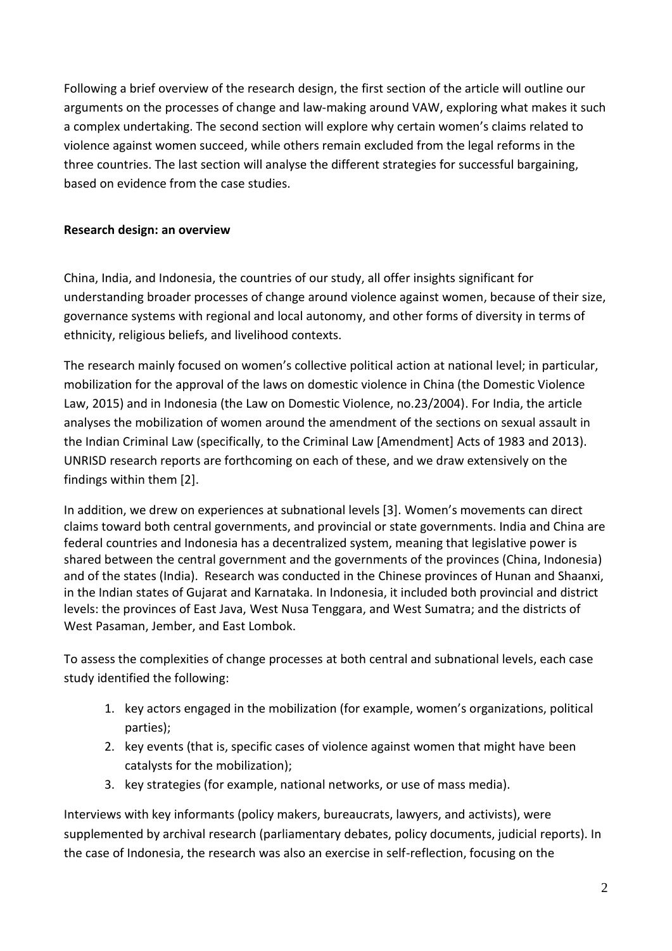Following a brief overview of the research design, the first section of the article will outline our arguments on the processes of change and law-making around VAW, exploring what makes it such a complex undertaking. The second section will explore why certain women's claims related to violence against women succeed, while others remain excluded from the legal reforms in the three countries. The last section will analyse the different strategies for successful bargaining, based on evidence from the case studies.

# **Research design: an overview**

China, India, and Indonesia, the countries of our study, all offer insights significant for understanding broader processes of change around violence against women, because of their size, governance systems with regional and local autonomy, and other forms of diversity in terms of ethnicity, religious beliefs, and livelihood contexts.

The research mainly focused on women's collective political action at national level; in particular, mobilization for the approval of the laws on domestic violence in China (the Domestic Violence Law, 2015) and in Indonesia (the Law on Domestic Violence, no.23/2004). For India, the article analyses the mobilization of women around the amendment of the sections on sexual assault in the Indian Criminal Law (specifically, to the Criminal Law [Amendment] Acts of 1983 and 2013). UNRISD research reports are forthcoming on each of these, and we draw extensively on the findings within them [2].

In addition, we drew on experiences at subnational levels [3]. Women's movements can direct claims toward both central governments, and provincial or state governments. India and China are federal countries and Indonesia has a decentralized system, meaning that legislative power is shared between the central government and the governments of the provinces (China, Indonesia) and of the states (India). Research was conducted in the Chinese provinces of Hunan and Shaanxi, in the Indian states of Gujarat and Karnataka. In Indonesia, it included both provincial and district levels: the provinces of East Java, West Nusa Tenggara, and West Sumatra; and the districts of West Pasaman, Jember, and East Lombok.

To assess the complexities of change processes at both central and subnational levels, each case study identified the following:

- 1. key actors engaged in the mobilization (for example, women's organizations, political parties);
- 2. key events (that is, specific cases of violence against women that might have been catalysts for the mobilization);
- 3. key strategies (for example, national networks, or use of mass media).

Interviews with key informants (policy makers, bureaucrats, lawyers, and activists), were supplemented by archival research (parliamentary debates, policy documents, judicial reports). In the case of Indonesia, the research was also an exercise in self-reflection, focusing on the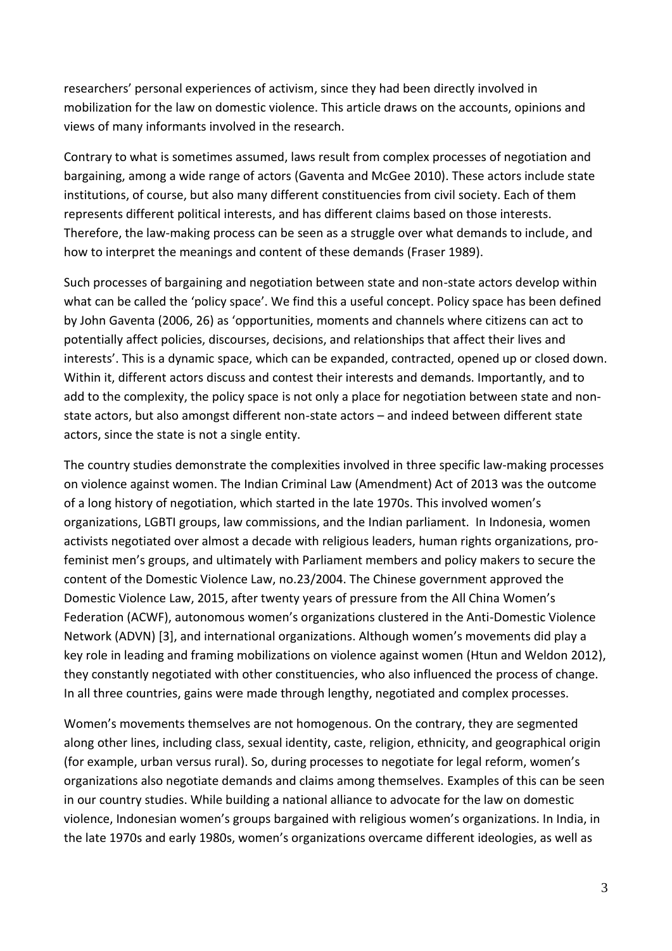researchers' personal experiences of activism, since they had been directly involved in mobilization for the law on domestic violence. This article draws on the accounts, opinions and views of many informants involved in the research.

Contrary to what is sometimes assumed, laws result from complex processes of negotiation and bargaining, among a wide range of actors (Gaventa and McGee 2010). These actors include state institutions, of course, but also many different constituencies from civil society. Each of them represents different political interests, and has different claims based on those interests. Therefore, the law-making process can be seen as a struggle over what demands to include, and how to interpret the meanings and content of these demands (Fraser 1989).

Such processes of bargaining and negotiation between state and non-state actors develop within what can be called the 'policy space'. We find this a useful concept. Policy space has been defined by John Gaventa (2006, 26) as 'opportunities, moments and channels where citizens can act to potentially affect policies, discourses, decisions, and relationships that affect their lives and interests'. This is a dynamic space, which can be expanded, contracted, opened up or closed down. Within it, different actors discuss and contest their interests and demands. Importantly, and to add to the complexity, the policy space is not only a place for negotiation between state and nonstate actors, but also amongst different non-state actors – and indeed between different state actors, since the state is not a single entity.

The country studies demonstrate the complexities involved in three specific law-making processes on violence against women. The Indian Criminal Law (Amendment) Act of 2013 was the outcome of a long history of negotiation, which started in the late 1970s. This involved women's organizations, LGBTI groups, law commissions, and the Indian parliament. In Indonesia, women activists negotiated over almost a decade with religious leaders, human rights organizations, profeminist men's groups, and ultimately with Parliament members and policy makers to secure the content of the Domestic Violence Law, no.23/2004. The Chinese government approved the Domestic Violence Law, 2015, after twenty years of pressure from the All China Women's Federation (ACWF), autonomous women's organizations clustered in the Anti-Domestic Violence Network (ADVN) [3], and international organizations. Although women's movements did play a key role in leading and framing mobilizations on violence against women (Htun and Weldon 2012), they constantly negotiated with other constituencies, who also influenced the process of change. In all three countries, gains were made through lengthy, negotiated and complex processes.

Women's movements themselves are not homogenous. On the contrary, they are segmented along other lines, including class, sexual identity, caste, religion, ethnicity, and geographical origin (for example, urban versus rural). So, during processes to negotiate for legal reform, women's organizations also negotiate demands and claims among themselves. Examples of this can be seen in our country studies. While building a national alliance to advocate for the law on domestic violence, Indonesian women's groups bargained with religious women's organizations. In India, in the late 1970s and early 1980s, women's organizations overcame different ideologies, as well as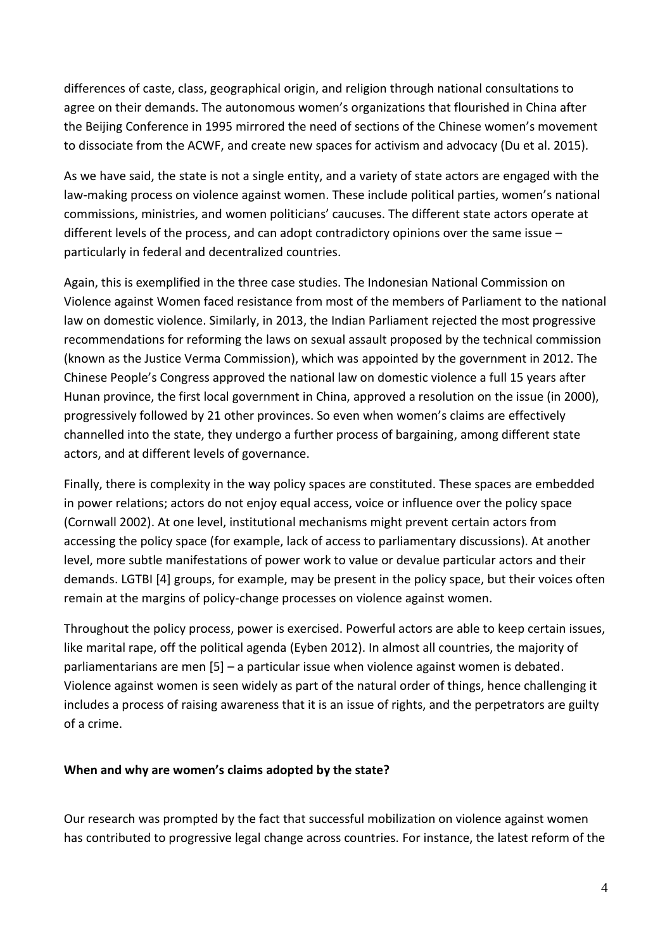differences of caste, class, geographical origin, and religion through national consultations to agree on their demands. The autonomous women's organizations that flourished in China after the Beijing Conference in 1995 mirrored the need of sections of the Chinese women's movement to dissociate from the ACWF, and create new spaces for activism and advocacy (Du et al. 2015).

As we have said, the state is not a single entity, and a variety of state actors are engaged with the law-making process on violence against women. These include political parties, women's national commissions, ministries, and women politicians' caucuses. The different state actors operate at different levels of the process, and can adopt contradictory opinions over the same issue – particularly in federal and decentralized countries.

Again, this is exemplified in the three case studies. The Indonesian National Commission on Violence against Women faced resistance from most of the members of Parliament to the national law on domestic violence. Similarly, in 2013, the Indian Parliament rejected the most progressive recommendations for reforming the laws on sexual assault proposed by the technical commission (known as the Justice Verma Commission), which was appointed by the government in 2012. The Chinese People's Congress approved the national law on domestic violence a full 15 years after Hunan province, the first local government in China, approved a resolution on the issue (in 2000), progressively followed by 21 other provinces. So even when women's claims are effectively channelled into the state, they undergo a further process of bargaining, among different state actors, and at different levels of governance.

Finally, there is complexity in the way policy spaces are constituted. These spaces are embedded in power relations; actors do not enjoy equal access, voice or influence over the policy space (Cornwall 2002). At one level, institutional mechanisms might prevent certain actors from accessing the policy space (for example, lack of access to parliamentary discussions). At another level, more subtle manifestations of power work to value or devalue particular actors and their demands. LGTBI [4] groups, for example, may be present in the policy space, but their voices often remain at the margins of policy-change processes on violence against women.

Throughout the policy process, power is exercised. Powerful actors are able to keep certain issues, like marital rape, off the political agenda (Eyben 2012). In almost all countries, the majority of parliamentarians are men [5] – a particular issue when violence against women is debated. Violence against women is seen widely as part of the natural order of things, hence challenging it includes a process of raising awareness that it is an issue of rights, and the perpetrators are guilty of a crime.

## **When and why are women's claims adopted by the state?**

Our research was prompted by the fact that successful mobilization on violence against women has contributed to progressive legal change across countries. For instance, the latest reform of the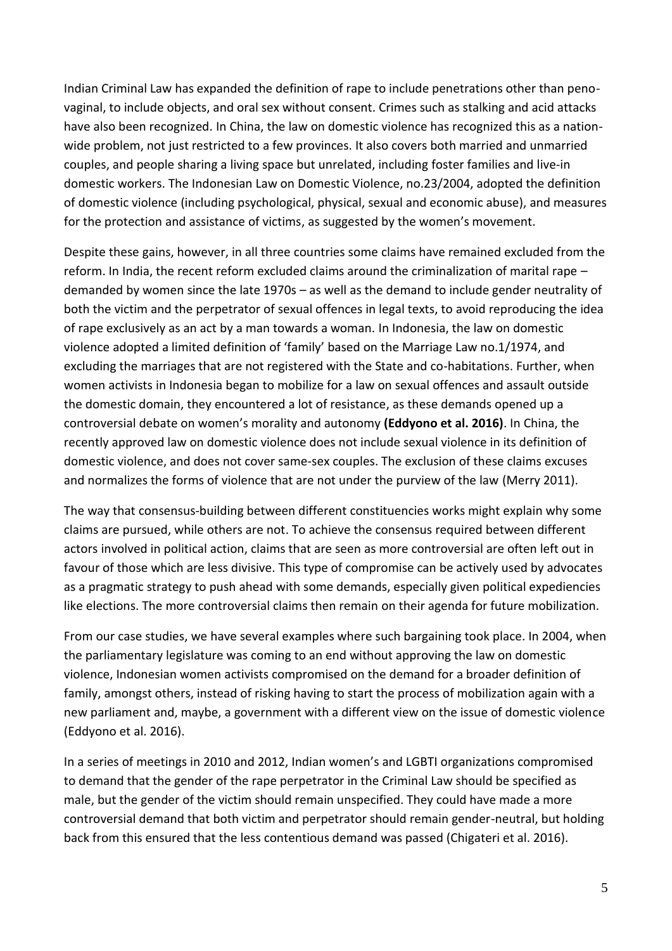Indian Criminal Law has expanded the definition of rape to include penetrations other than penovaginal, to include objects, and oral sex without consent. Crimes such as stalking and acid attacks have also been recognized. In China, the law on domestic violence has recognized this as a nationwide problem, not just restricted to a few provinces. It also covers both married and unmarried couples, and people sharing a living space but unrelated, including foster families and live-in domestic workers. The Indonesian Law on Domestic Violence, no.23/2004, adopted the definition of domestic violence (including psychological, physical, sexual and economic abuse), and measures for the protection and assistance of victims, as suggested by the women's movement.

Despite these gains, however, in all three countries some claims have remained excluded from the reform. In India, the recent reform excluded claims around the criminalization of marital rape – demanded by women since the late 1970s – as well as the demand to include gender neutrality of both the victim and the perpetrator of sexual offences in legal texts, to avoid reproducing the idea of rape exclusively as an act by a man towards a woman. In Indonesia, the law on domestic violence adopted a limited definition of 'family' based on the Marriage Law no.1/1974, and excluding the marriages that are not registered with the State and co-habitations. Further, when women activists in Indonesia began to mobilize for a law on sexual offences and assault outside the domestic domain, they encountered a lot of resistance, as these demands opened up a controversial debate on women's morality and autonomy **(Eddyono et al. 2016)**. In China, the recently approved law on domestic violence does not include sexual violence in its definition of domestic violence, and does not cover same-sex couples. The exclusion of these claims excuses and normalizes the forms of violence that are not under the purview of the law (Merry 2011).

The way that consensus-building between different constituencies works might explain why some claims are pursued, while others are not. To achieve the consensus required between different actors involved in political action, claims that are seen as more controversial are often left out in favour of those which are less divisive. This type of compromise can be actively used by advocates as a pragmatic strategy to push ahead with some demands, especially given political expediencies like elections. The more controversial claims then remain on their agenda for future mobilization.

From our case studies, we have several examples where such bargaining took place. In 2004, when the parliamentary legislature was coming to an end without approving the law on domestic violence, Indonesian women activists compromised on the demand for a broader definition of family, amongst others, instead of risking having to start the process of mobilization again with a new parliament and, maybe, a government with a different view on the issue of domestic violence (Eddyono et al. 2016).

In a series of meetings in 2010 and 2012, Indian women's and LGBTI organizations compromised to demand that the gender of the rape perpetrator in the Criminal Law should be specified as male, but the gender of the victim should remain unspecified. They could have made a more controversial demand that both victim and perpetrator should remain gender-neutral, but holding back from this ensured that the less contentious demand was passed (Chigateri et al. 2016).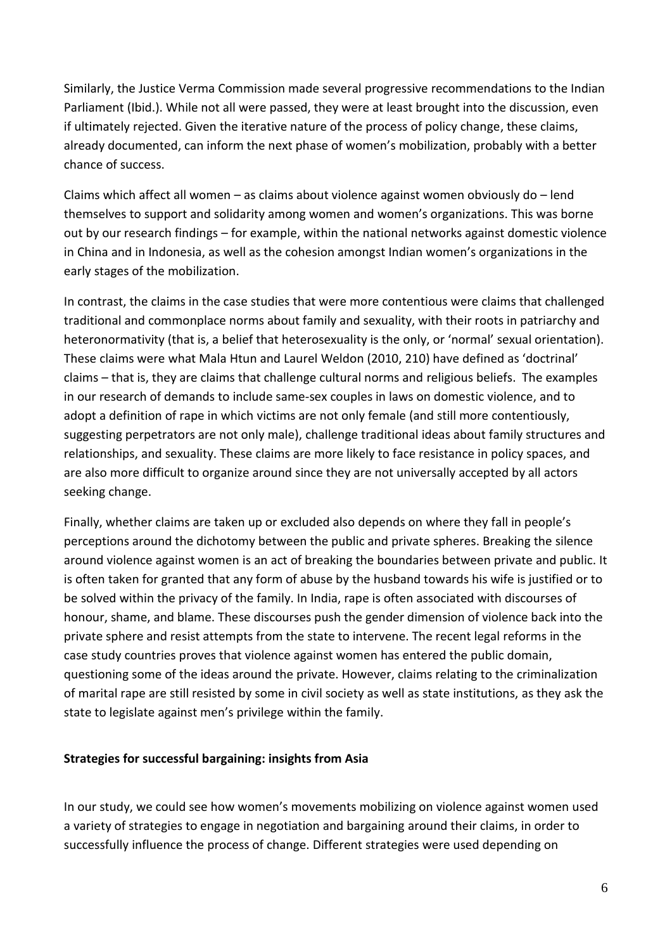Similarly, the Justice Verma Commission made several progressive recommendations to the Indian Parliament (Ibid.). While not all were passed, they were at least brought into the discussion, even if ultimately rejected. Given the iterative nature of the process of policy change, these claims, already documented, can inform the next phase of women's mobilization, probably with a better chance of success.

Claims which affect all women – as claims about violence against women obviously do – lend themselves to support and solidarity among women and women's organizations. This was borne out by our research findings – for example, within the national networks against domestic violence in China and in Indonesia, as well as the cohesion amongst Indian women's organizations in the early stages of the mobilization.

In contrast, the claims in the case studies that were more contentious were claims that challenged traditional and commonplace norms about family and sexuality, with their roots in patriarchy and heteronormativity (that is, a belief that heterosexuality is the only, or 'normal' sexual orientation). These claims were what Mala Htun and Laurel Weldon (2010, 210) have defined as 'doctrinal' claims – that is, they are claims that challenge cultural norms and religious beliefs. The examples in our research of demands to include same-sex couples in laws on domestic violence, and to adopt a definition of rape in which victims are not only female (and still more contentiously, suggesting perpetrators are not only male), challenge traditional ideas about family structures and relationships, and sexuality. These claims are more likely to face resistance in policy spaces, and are also more difficult to organize around since they are not universally accepted by all actors seeking change.

Finally, whether claims are taken up or excluded also depends on where they fall in people's perceptions around the dichotomy between the public and private spheres. Breaking the silence around violence against women is an act of breaking the boundaries between private and public. It is often taken for granted that any form of abuse by the husband towards his wife is justified or to be solved within the privacy of the family. In India, rape is often associated with discourses of honour, shame, and blame. These discourses push the gender dimension of violence back into the private sphere and resist attempts from the state to intervene. The recent legal reforms in the case study countries proves that violence against women has entered the public domain, questioning some of the ideas around the private. However, claims relating to the criminalization of marital rape are still resisted by some in civil society as well as state institutions, as they ask the state to legislate against men's privilege within the family.

#### **Strategies for successful bargaining: insights from Asia**

In our study, we could see how women's movements mobilizing on violence against women used a variety of strategies to engage in negotiation and bargaining around their claims, in order to successfully influence the process of change. Different strategies were used depending on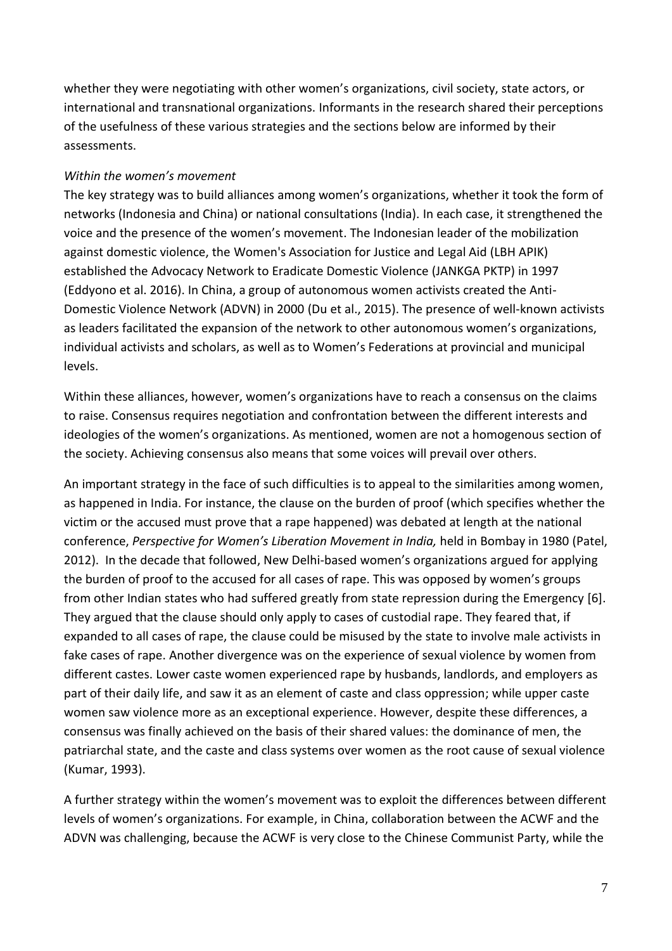whether they were negotiating with other women's organizations, civil society, state actors, or international and transnational organizations. Informants in the research shared their perceptions of the usefulness of these various strategies and the sections below are informed by their assessments.

## *Within the women's movement*

The key strategy was to build alliances among women's organizations, whether it took the form of networks (Indonesia and China) or national consultations (India). In each case, it strengthened the voice and the presence of the women's movement. The Indonesian leader of the mobilization against domestic violence, the Women's Association for Justice and Legal Aid (LBH APIK) established the Advocacy Network to Eradicate Domestic Violence (JANKGA PKTP) in 1997 (Eddyono et al. 2016). In China, a group of autonomous women activists created the Anti-Domestic Violence Network (ADVN) in 2000 (Du et al., 2015). The presence of well-known activists as leaders facilitated the expansion of the network to other autonomous women's organizations, individual activists and scholars, as well as to Women's Federations at provincial and municipal levels.

Within these alliances, however, women's organizations have to reach a consensus on the claims to raise. Consensus requires negotiation and confrontation between the different interests and ideologies of the women's organizations. As mentioned, women are not a homogenous section of the society. Achieving consensus also means that some voices will prevail over others.

An important strategy in the face of such difficulties is to appeal to the similarities among women, as happened in India. For instance, the clause on the burden of proof (which specifies whether the victim or the accused must prove that a rape happened) was debated at length at the national conference, *Perspective for Women's Liberation Movement in India,* held in Bombay in 1980 (Patel, 2012). In the decade that followed, New Delhi-based women's organizations argued for applying the burden of proof to the accused for all cases of rape. This was opposed by women's groups from other Indian states who had suffered greatly from state repression during the Emergency [6]. They argued that the clause should only apply to cases of custodial rape. They feared that, if expanded to all cases of rape, the clause could be misused by the state to involve male activists in fake cases of rape. Another divergence was on the experience of sexual violence by women from different castes. Lower caste women experienced rape by husbands, landlords, and employers as part of their daily life, and saw it as an element of caste and class oppression; while upper caste women saw violence more as an exceptional experience. However, despite these differences, a consensus was finally achieved on the basis of their shared values: the dominance of men, the patriarchal state, and the caste and class systems over women as the root cause of sexual violence (Kumar, 1993).

A further strategy within the women's movement was to exploit the differences between different levels of women's organizations. For example, in China, collaboration between the ACWF and the ADVN was challenging, because the ACWF is very close to the Chinese Communist Party, while the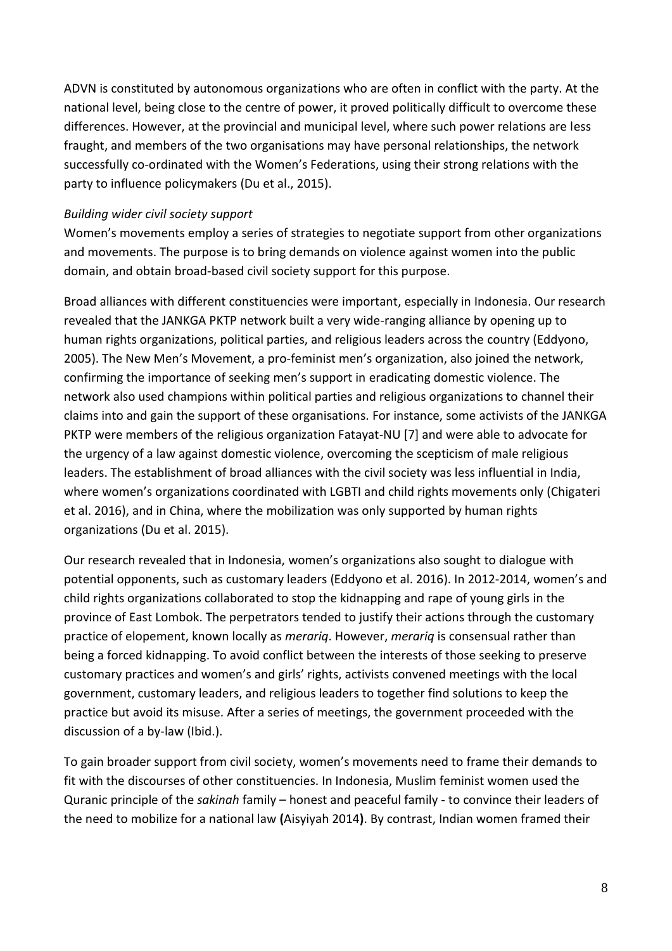ADVN is constituted by autonomous organizations who are often in conflict with the party. At the national level, being close to the centre of power, it proved politically difficult to overcome these differences. However, at the provincial and municipal level, where such power relations are less fraught, and members of the two organisations may have personal relationships, the network successfully co-ordinated with the Women's Federations, using their strong relations with the party to influence policymakers (Du et al., 2015).

## *Building wider civil society support*

Women's movements employ a series of strategies to negotiate support from other organizations and movements. The purpose is to bring demands on violence against women into the public domain, and obtain broad-based civil society support for this purpose.

Broad alliances with different constituencies were important, especially in Indonesia. Our research revealed that the JANKGA PKTP network built a very wide-ranging alliance by opening up to human rights organizations, political parties, and religious leaders across the country (Eddyono, 2005). The New Men's Movement, a pro-feminist men's organization, also joined the network, confirming the importance of seeking men's support in eradicating domestic violence. The network also used champions within political parties and religious organizations to channel their claims into and gain the support of these organisations. For instance, some activists of the JANKGA PKTP were members of the religious organization Fatayat-NU [7] and were able to advocate for the urgency of a law against domestic violence, overcoming the scepticism of male religious leaders. The establishment of broad alliances with the civil society was less influential in India, where women's organizations coordinated with LGBTI and child rights movements only (Chigateri et al. 2016), and in China, where the mobilization was only supported by human rights organizations (Du et al. 2015).

Our research revealed that in Indonesia, women's organizations also sought to dialogue with potential opponents, such as customary leaders (Eddyono et al. 2016). In 2012-2014, women's and child rights organizations collaborated to stop the kidnapping and rape of young girls in the province of East Lombok. The perpetrators tended to justify their actions through the customary practice of elopement, known locally as *merariq*. However, *merariq* is consensual rather than being a forced kidnapping. To avoid conflict between the interests of those seeking to preserve customary practices and women's and girls' rights, activists convened meetings with the local government, customary leaders, and religious leaders to together find solutions to keep the practice but avoid its misuse. After a series of meetings, the government proceeded with the discussion of a by-law (Ibid.).

To gain broader support from civil society, women's movements need to frame their demands to fit with the discourses of other constituencies. In Indonesia, Muslim feminist women used the Quranic principle of the *sakinah* family – honest and peaceful family - to convince their leaders of the need to mobilize for a national law **(**Aisyiyah 2014**)**. By contrast, Indian women framed their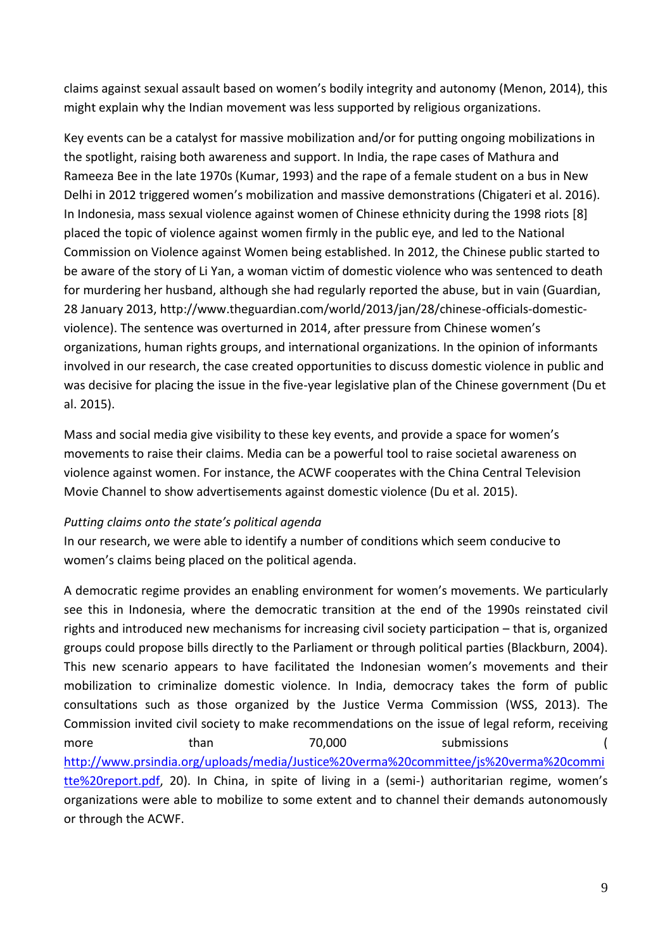claims against sexual assault based on women's bodily integrity and autonomy (Menon, 2014), this might explain why the Indian movement was less supported by religious organizations.

Key events can be a catalyst for massive mobilization and/or for putting ongoing mobilizations in the spotlight, raising both awareness and support. In India, the rape cases of Mathura and Rameeza Bee in the late 1970s (Kumar, 1993) and the rape of a female student on a bus in New Delhi in 2012 triggered women's mobilization and massive demonstrations (Chigateri et al. 2016). In Indonesia, mass sexual violence against women of Chinese ethnicity during the 1998 riots [8] placed the topic of violence against women firmly in the public eye, and led to the National Commission on Violence against Women being established. In 2012, the Chinese public started to be aware of the story of Li Yan, a woman victim of domestic violence who was sentenced to death for murdering her husband, although she had regularly reported the abuse, but in vain (Guardian, 28 January 2013, http://www.theguardian.com/world/2013/jan/28/chinese-officials-domesticviolence). The sentence was overturned in 2014, after pressure from Chinese women's organizations, human rights groups, and international organizations. In the opinion of informants involved in our research, the case created opportunities to discuss domestic violence in public and was decisive for placing the issue in the five-year legislative plan of the Chinese government (Du et al. 2015).

Mass and social media give visibility to these key events, and provide a space for women's movements to raise their claims. Media can be a powerful tool to raise societal awareness on violence against women. For instance, the ACWF cooperates with the China Central Television Movie Channel to show advertisements against domestic violence (Du et al. 2015).

## *Putting claims onto the state's political agenda*

In our research, we were able to identify a number of conditions which seem conducive to women's claims being placed on the political agenda.

A democratic regime provides an enabling environment for women's movements. We particularly see this in Indonesia, where the democratic transition at the end of the 1990s reinstated civil rights and introduced new mechanisms for increasing civil society participation – that is, organized groups could propose bills directly to the Parliament or through political parties (Blackburn, 2004). This new scenario appears to have facilitated the Indonesian women's movements and their mobilization to criminalize domestic violence. In India, democracy takes the form of public consultations such as those organized by the Justice Verma Commission (WSS, 2013). The Commission invited civil society to make recommendations on the issue of legal reform, receiving more than 70,000 submissions ( [http://www.prsindia.org/uploads/media/Justice%20verma%20committee/js%20verma%20commi](http://www.prsindia.org/uploads/media/Justice%20verma%20committee/js%20verma%20committe%20report.pdf) [tte%20report.pdf,](http://www.prsindia.org/uploads/media/Justice%20verma%20committee/js%20verma%20committe%20report.pdf) 20). In China, in spite of living in a (semi-) authoritarian regime, women's organizations were able to mobilize to some extent and to channel their demands autonomously or through the ACWF.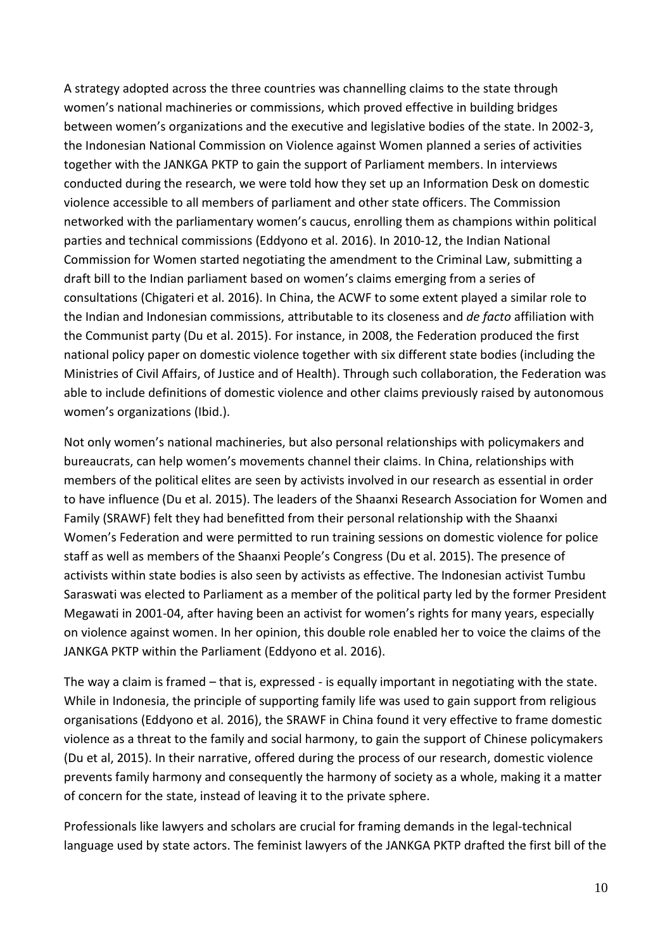A strategy adopted across the three countries was channelling claims to the state through women's national machineries or commissions, which proved effective in building bridges between women's organizations and the executive and legislative bodies of the state. In 2002-3, the Indonesian National Commission on Violence against Women planned a series of activities together with the JANKGA PKTP to gain the support of Parliament members. In interviews conducted during the research, we were told how they set up an Information Desk on domestic violence accessible to all members of parliament and other state officers. The Commission networked with the parliamentary women's caucus, enrolling them as champions within political parties and technical commissions (Eddyono et al. 2016). In 2010-12, the Indian National Commission for Women started negotiating the amendment to the Criminal Law, submitting a draft bill to the Indian parliament based on women's claims emerging from a series of consultations (Chigateri et al. 2016). In China, the ACWF to some extent played a similar role to the Indian and Indonesian commissions, attributable to its closeness and *de facto* affiliation with the Communist party (Du et al. 2015). For instance, in 2008, the Federation produced the first national policy paper on domestic violence together with six different state bodies (including the Ministries of Civil Affairs, of Justice and of Health). Through such collaboration, the Federation was able to include definitions of domestic violence and other claims previously raised by autonomous women's organizations (Ibid.).

Not only women's national machineries, but also personal relationships with policymakers and bureaucrats, can help women's movements channel their claims. In China, relationships with members of the political elites are seen by activists involved in our research as essential in order to have influence (Du et al. 2015). The leaders of the Shaanxi Research Association for Women and Family (SRAWF) felt they had benefitted from their personal relationship with the Shaanxi Women's Federation and were permitted to run training sessions on domestic violence for police staff as well as members of the Shaanxi People's Congress (Du et al. 2015). The presence of activists within state bodies is also seen by activists as effective. The Indonesian activist Tumbu Saraswati was elected to Parliament as a member of the political party led by the former President Megawati in 2001-04, after having been an activist for women's rights for many years, especially on violence against women. In her opinion, this double role enabled her to voice the claims of the JANKGA PKTP within the Parliament (Eddyono et al. 2016).

The way a claim is framed – that is, expressed - is equally important in negotiating with the state. While in Indonesia, the principle of supporting family life was used to gain support from religious organisations (Eddyono et al. 2016), the SRAWF in China found it very effective to frame domestic violence as a threat to the family and social harmony, to gain the support of Chinese policymakers (Du et al, 2015). In their narrative, offered during the process of our research, domestic violence prevents family harmony and consequently the harmony of society as a whole, making it a matter of concern for the state, instead of leaving it to the private sphere.

Professionals like lawyers and scholars are crucial for framing demands in the legal-technical language used by state actors. The feminist lawyers of the JANKGA PKTP drafted the first bill of the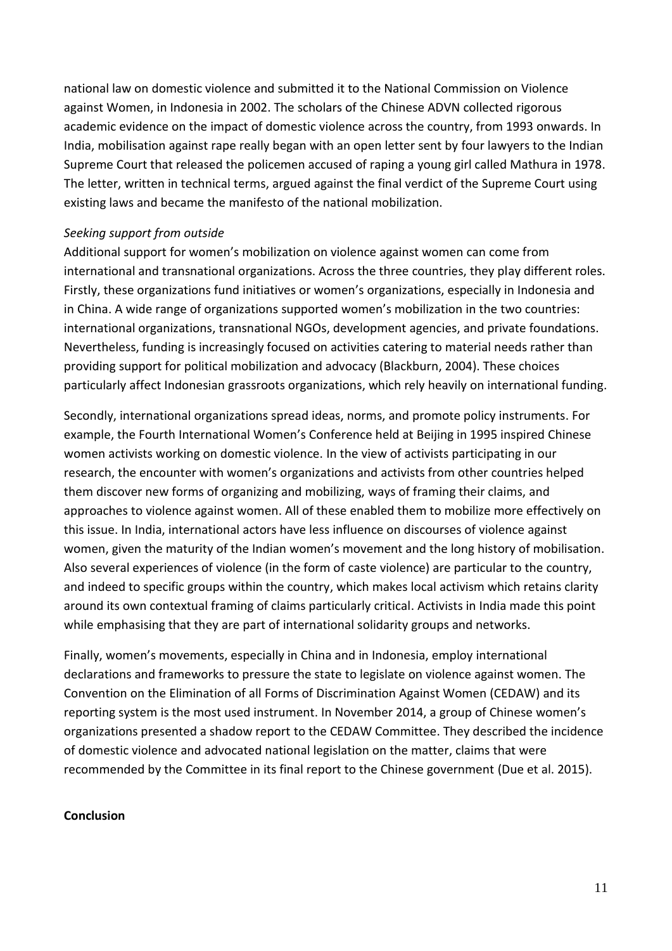national law on domestic violence and submitted it to the National Commission on Violence against Women, in Indonesia in 2002. The scholars of the Chinese ADVN collected rigorous academic evidence on the impact of domestic violence across the country, from 1993 onwards. In India, mobilisation against rape really began with an open letter sent by four lawyers to the Indian Supreme Court that released the policemen accused of raping a young girl called Mathura in 1978. The letter, written in technical terms, argued against the final verdict of the Supreme Court using existing laws and became the manifesto of the national mobilization.

#### *Seeking support from outside*

Additional support for women's mobilization on violence against women can come from international and transnational organizations. Across the three countries, they play different roles. Firstly, these organizations fund initiatives or women's organizations, especially in Indonesia and in China. A wide range of organizations supported women's mobilization in the two countries: international organizations, transnational NGOs, development agencies, and private foundations. Nevertheless, funding is increasingly focused on activities catering to material needs rather than providing support for political mobilization and advocacy (Blackburn, 2004). These choices particularly affect Indonesian grassroots organizations, which rely heavily on international funding.

Secondly, international organizations spread ideas, norms, and promote policy instruments. For example, the Fourth International Women's Conference held at Beijing in 1995 inspired Chinese women activists working on domestic violence. In the view of activists participating in our research, the encounter with women's organizations and activists from other countries helped them discover new forms of organizing and mobilizing, ways of framing their claims, and approaches to violence against women. All of these enabled them to mobilize more effectively on this issue. In India, international actors have less influence on discourses of violence against women, given the maturity of the Indian women's movement and the long history of mobilisation. Also several experiences of violence (in the form of caste violence) are particular to the country, and indeed to specific groups within the country, which makes local activism which retains clarity around its own contextual framing of claims particularly critical. Activists in India made this point while emphasising that they are part of international solidarity groups and networks.

Finally, women's movements, especially in China and in Indonesia, employ international declarations and frameworks to pressure the state to legislate on violence against women. The Convention on the Elimination of all Forms of Discrimination Against Women (CEDAW) and its reporting system is the most used instrument. In November 2014, a group of Chinese women's organizations presented a shadow report to the CEDAW Committee. They described the incidence of domestic violence and advocated national legislation on the matter, claims that were recommended by the Committee in its final report to the Chinese government (Due et al. 2015).

#### **Conclusion**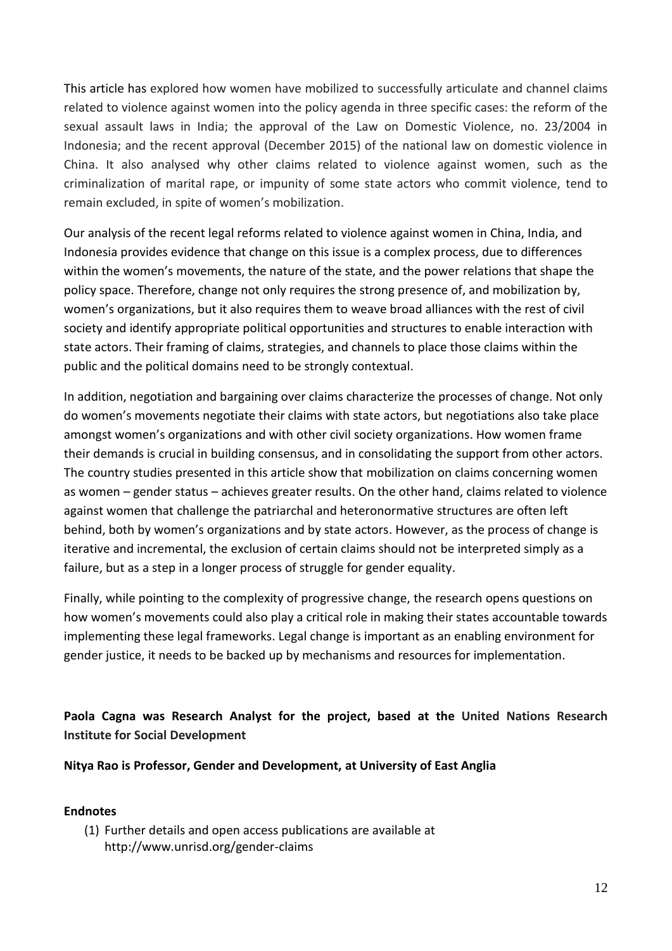This article has explored how women have mobilized to successfully articulate and channel claims related to violence against women into the policy agenda in three specific cases: the reform of the sexual assault laws in India; the approval of the Law on Domestic Violence, no. 23/2004 in Indonesia; and the recent approval (December 2015) of the national law on domestic violence in China. It also analysed why other claims related to violence against women, such as the criminalization of marital rape, or impunity of some state actors who commit violence, tend to remain excluded, in spite of women's mobilization.

Our analysis of the recent legal reforms related to violence against women in China, India, and Indonesia provides evidence that change on this issue is a complex process, due to differences within the women's movements, the nature of the state, and the power relations that shape the policy space. Therefore, change not only requires the strong presence of, and mobilization by, women's organizations, but it also requires them to weave broad alliances with the rest of civil society and identify appropriate political opportunities and structures to enable interaction with state actors. Their framing of claims, strategies, and channels to place those claims within the public and the political domains need to be strongly contextual.

In addition, negotiation and bargaining over claims characterize the processes of change. Not only do women's movements negotiate their claims with state actors, but negotiations also take place amongst women's organizations and with other civil society organizations. How women frame their demands is crucial in building consensus, and in consolidating the support from other actors. The country studies presented in this article show that mobilization on claims concerning women as women – gender status – achieves greater results. On the other hand, claims related to violence against women that challenge the patriarchal and heteronormative structures are often left behind, both by women's organizations and by state actors. However, as the process of change is iterative and incremental, the exclusion of certain claims should not be interpreted simply as a failure, but as a step in a longer process of struggle for gender equality.

Finally, while pointing to the complexity of progressive change, the research opens questions on how women's movements could also play a critical role in making their states accountable towards implementing these legal frameworks. Legal change is important as an enabling environment for gender justice, it needs to be backed up by mechanisms and resources for implementation.

**Paola Cagna was Research Analyst for the project, based at the United Nations Research Institute for Social Development**

**Nitya Rao is Professor, Gender and Development, at University of East Anglia**

## **Endnotes**

(1) Further details and open access publications are available at http://www.unrisd.org/gender-claims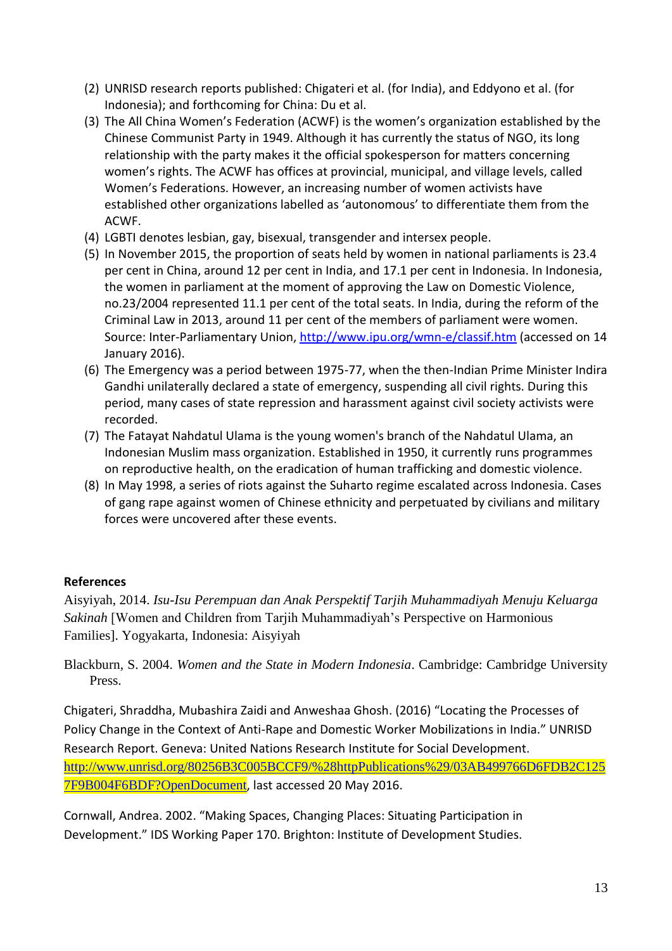- (2) UNRISD research reports published: Chigateri et al. (for India), and Eddyono et al. (for Indonesia); and forthcoming for China: Du et al.
- (3) The All China Women's Federation (ACWF) is the women's organization established by the Chinese Communist Party in 1949. Although it has currently the status of NGO, its long relationship with the party makes it the official spokesperson for matters concerning women's rights. The ACWF has offices at provincial, municipal, and village levels, called Women's Federations. However, an increasing number of women activists have established other organizations labelled as 'autonomous' to differentiate them from the ACWF.
- (4) LGBTI denotes lesbian, gay, bisexual, transgender and intersex people.
- (5) In November 2015, the proportion of seats held by women in national parliaments is 23.4 per cent in China, around 12 per cent in India, and 17.1 per cent in Indonesia. In Indonesia, the women in parliament at the moment of approving the Law on Domestic Violence, no.23/2004 represented 11.1 per cent of the total seats. In India, during the reform of the Criminal Law in 2013, around 11 per cent of the members of parliament were women. Source: Inter-Parliamentary Union,<http://www.ipu.org/wmn-e/classif.htm> (accessed on 14 January 2016).
- (6) The Emergency was a period between 1975-77, when the then-Indian Prime Minister Indira Gandhi unilaterally declared a state of emergency, suspending all civil rights. During this period, many cases of state repression and harassment against civil society activists were recorded.
- (7) The Fatayat Nahdatul Ulama is the young women's branch of the Nahdatul Ulama, an Indonesian Muslim mass organization. Established in 1950, it currently runs programmes on reproductive health, on the eradication of human trafficking and domestic violence.
- (8) In May 1998, a series of riots against the Suharto regime escalated across Indonesia. Cases of gang rape against women of Chinese ethnicity and perpetuated by civilians and military forces were uncovered after these events.

# **References**

Aisyiyah, 2014. *Isu-Isu Perempuan dan Anak Perspektif Tarjih Muhammadiyah Menuju Keluarga Sakinah* [Women and Children from Tarjih Muhammadiyah's Perspective on Harmonious Families]. Yogyakarta, Indonesia: Aisyiyah

Blackburn, S. 2004. *Women and the State in Modern Indonesia*. Cambridge: Cambridge University Press.

Chigateri, Shraddha, Mubashira Zaidi and Anweshaa Ghosh. (2016) "Locating the Processes of Policy Change in the Context of Anti-Rape and Domestic Worker Mobilizations in India." UNRISD Research Report. Geneva: United Nations Research Institute for Social Development. [http://www.unrisd.org/80256B3C005BCCF9/%28httpPublications%29/03AB499766D6FDB2C125](http://www.unrisd.org/80256B3C005BCCF9/%28httpPublications%29/03AB499766D6FDB2C1257F9B004F6BDF?OpenDocument) [7F9B004F6BDF?OpenDocument](http://www.unrisd.org/80256B3C005BCCF9/%28httpPublications%29/03AB499766D6FDB2C1257F9B004F6BDF?OpenDocument), last accessed 20 May 2016.

Cornwall, Andrea. 2002. "Making Spaces, Changing Places: Situating Participation in Development." IDS Working Paper 170. Brighton: Institute of Development Studies.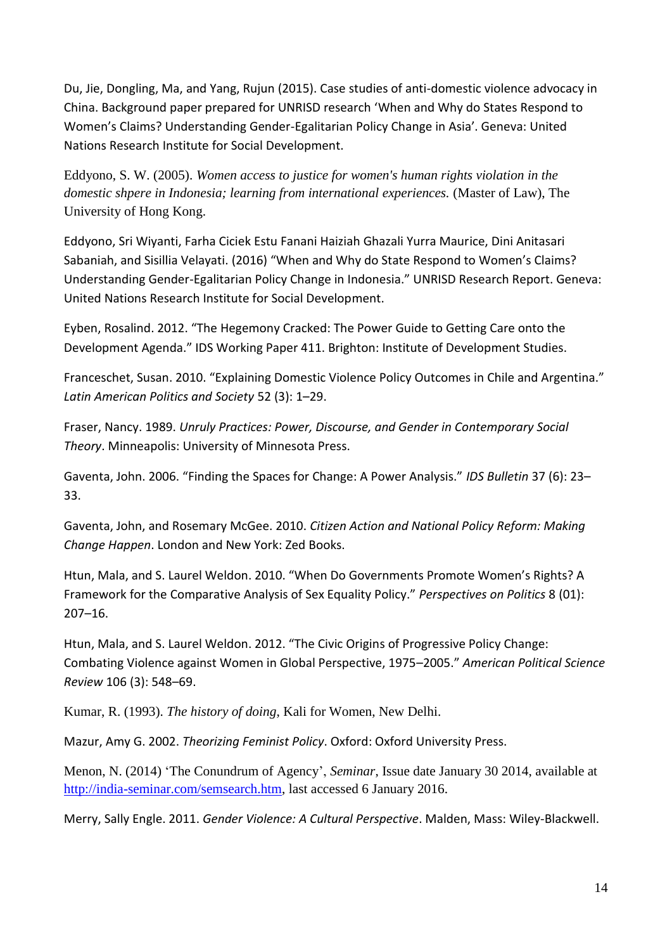Du, Jie, Dongling, Ma, and Yang, Rujun (2015). Case studies of anti-domestic violence advocacy in China. Background paper prepared for UNRISD research 'When and Why do States Respond to Women's Claims? Understanding Gender-Egalitarian Policy Change in Asia'. Geneva: United Nations Research Institute for Social Development.

Eddyono, S. W. (2005). *Women access to justice for women's human rights violation in the domestic shpere in Indonesia; learning from international experiences.* (Master of Law), The University of Hong Kong.

Eddyono, Sri Wiyanti, Farha Ciciek Estu Fanani Haiziah Ghazali Yurra Maurice, Dini Anitasari Sabaniah, and Sisillia Velayati. (2016) "When and Why do State Respond to Women's Claims? Understanding Gender-Egalitarian Policy Change in Indonesia." UNRISD Research Report. Geneva: United Nations Research Institute for Social Development.

Eyben, Rosalind. 2012. "The Hegemony Cracked: The Power Guide to Getting Care onto the Development Agenda." IDS Working Paper 411. Brighton: Institute of Development Studies.

Franceschet, Susan. 2010. "Explaining Domestic Violence Policy Outcomes in Chile and Argentina." *Latin American Politics and Society* 52 (3): 1–29.

Fraser, Nancy. 1989. *Unruly Practices: Power, Discourse, and Gender in Contemporary Social Theory*. Minneapolis: University of Minnesota Press.

Gaventa, John. 2006. "Finding the Spaces for Change: A Power Analysis." *IDS Bulletin* 37 (6): 23– 33.

Gaventa, John, and Rosemary McGee. 2010. *Citizen Action and National Policy Reform: Making Change Happen*. London and New York: Zed Books.

Htun, Mala, and S. Laurel Weldon. 2010. "When Do Governments Promote Women's Rights? A Framework for the Comparative Analysis of Sex Equality Policy." *Perspectives on Politics* 8 (01): 207–16.

Htun, Mala, and S. Laurel Weldon. 2012. "The Civic Origins of Progressive Policy Change: Combating Violence against Women in Global Perspective, 1975–2005." *American Political Science Review* 106 (3): 548–69.

Kumar, R. (1993). *The history of doing*, Kali for Women, New Delhi.

Mazur, Amy G. 2002. *Theorizing Feminist Policy*. Oxford: Oxford University Press.

Menon, N. (2014) 'The Conundrum of Agency', *Seminar*, Issue date January 30 2014, available at [http://india-seminar.com/semsearch.htm,](http://india-seminar.com/semsearch.htm) last accessed 6 January 2016.

Merry, Sally Engle. 2011. *Gender Violence: A Cultural Perspective*. Malden, Mass: Wiley-Blackwell.